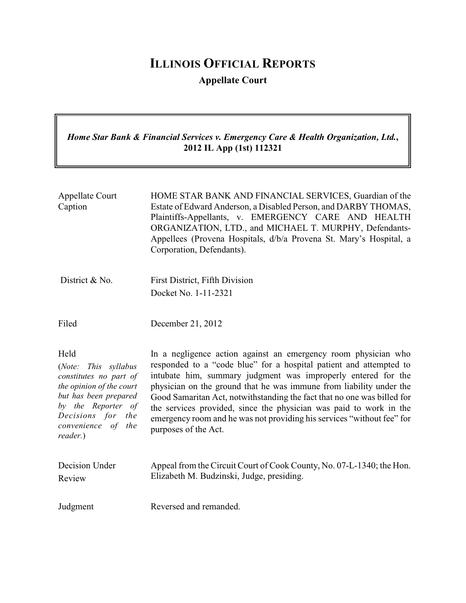# **ILLINOIS OFFICIAL REPORTS**

**Appellate Court**

*Home Star Bank & Financial Services v. Emergency Care & Health Organization, Ltd.***, 2012 IL App (1st) 112321**

| Appellate Court<br>Caption                                                                                                                                                                | HOME STAR BANK AND FINANCIAL SERVICES, Guardian of the<br>Estate of Edward Anderson, a Disabled Person, and DARBY THOMAS,<br>Plaintiffs-Appellants, v. EMERGENCY CARE AND HEALTH<br>ORGANIZATION, LTD., and MICHAEL T. MURPHY, Defendants-<br>Appellees (Provena Hospitals, d/b/a Provena St. Mary's Hospital, a<br>Corporation, Defendants).                                                                                                                                                                                   |
|-------------------------------------------------------------------------------------------------------------------------------------------------------------------------------------------|---------------------------------------------------------------------------------------------------------------------------------------------------------------------------------------------------------------------------------------------------------------------------------------------------------------------------------------------------------------------------------------------------------------------------------------------------------------------------------------------------------------------------------|
| District & No.                                                                                                                                                                            | First District, Fifth Division<br>Docket No. 1-11-2321                                                                                                                                                                                                                                                                                                                                                                                                                                                                          |
| Filed                                                                                                                                                                                     | December 21, 2012                                                                                                                                                                                                                                                                                                                                                                                                                                                                                                               |
| Held<br>(Note: This syllabus)<br>constitutes no part of<br>the opinion of the court<br>but has been prepared<br>by the Reporter of<br>Decisions for the<br>convenience of the<br>reader.) | In a negligence action against an emergency room physician who<br>responded to a "code blue" for a hospital patient and attempted to<br>intubate him, summary judgment was improperly entered for the<br>physician on the ground that he was immune from liability under the<br>Good Samaritan Act, notwithstanding the fact that no one was billed for<br>the services provided, since the physician was paid to work in the<br>emergency room and he was not providing his services "without fee" for<br>purposes of the Act. |

| Decision Under | Appeal from the Circuit Court of Cook County, No. 07-L-1340; the Hon. |
|----------------|-----------------------------------------------------------------------|
| Review         | Elizabeth M. Budzinski, Judge, presiding.                             |
|                |                                                                       |

Judgment Reversed and remanded.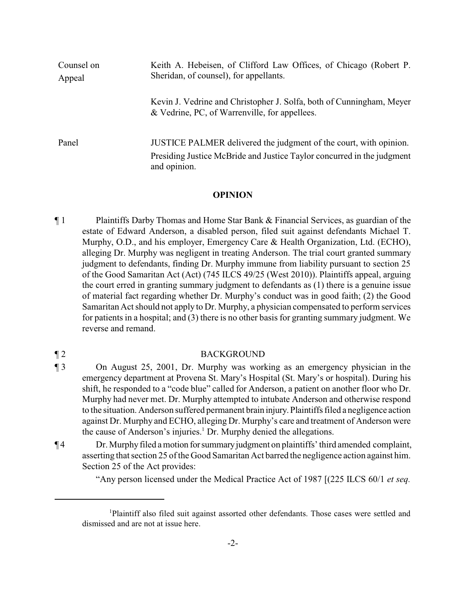| Counsel on<br>Appeal | Keith A. Hebeisen, of Clifford Law Offices, of Chicago (Robert P.<br>Sheridan, of counsel), for appellants.                                                 |
|----------------------|-------------------------------------------------------------------------------------------------------------------------------------------------------------|
|                      | Kevin J. Vedrine and Christopher J. Solfa, both of Cunningham, Meyer<br>& Vedrine, PC, of Warrenville, for appellees.                                       |
| Panel                | JUSTICE PALMER delivered the judgment of the court, with opinion.<br>Presiding Justice McBride and Justice Taylor concurred in the judgment<br>and opinion. |

### **OPINION**

¶ 1 Plaintiffs Darby Thomas and Home Star Bank & Financial Services, as guardian of the estate of Edward Anderson, a disabled person, filed suit against defendants Michael T. Murphy, O.D., and his employer, Emergency Care & Health Organization, Ltd. (ECHO), alleging Dr. Murphy was negligent in treating Anderson. The trial court granted summary judgment to defendants, finding Dr. Murphy immune from liability pursuant to section 25 of the Good Samaritan Act (Act) (745 ILCS 49/25 (West 2010)). Plaintiffs appeal, arguing the court erred in granting summary judgment to defendants as (1) there is a genuine issue of material fact regarding whether Dr. Murphy's conduct was in good faith; (2) the Good Samaritan Act should not apply to Dr. Murphy, a physician compensated to perform services for patients in a hospital; and (3) there is no other basis for granting summary judgment. We reverse and remand.

# ¶ 2 BACKGROUND

- ¶ 3 On August 25, 2001, Dr. Murphy was working as an emergency physician in the emergency department at Provena St. Mary's Hospital (St. Mary's or hospital). During his shift, he responded to a "code blue" called for Anderson, a patient on another floor who Dr. Murphy had never met. Dr. Murphy attempted to intubate Anderson and otherwise respond to the situation. Anderson suffered permanent brain injury. Plaintiffs filed a negligence action against Dr. Murphy and ECHO, alleging Dr. Murphy's care and treatment of Anderson were the cause of Anderson's injuries.<sup>1</sup> Dr. Murphy denied the allegations.
- ¶ 4 Dr. Murphyfiled a motion forsummaryjudgment on plaintiffs' third amended complaint, asserting that section 25 of the Good Samaritan Act barred the negligence action against him. Section 25 of the Act provides:

"Any person licensed under the Medical Practice Act of 1987 [(225 ILCS 60/1 *et seq.*

 ${}^{1}$ Plaintiff also filed suit against assorted other defendants. Those cases were settled and dismissed and are not at issue here.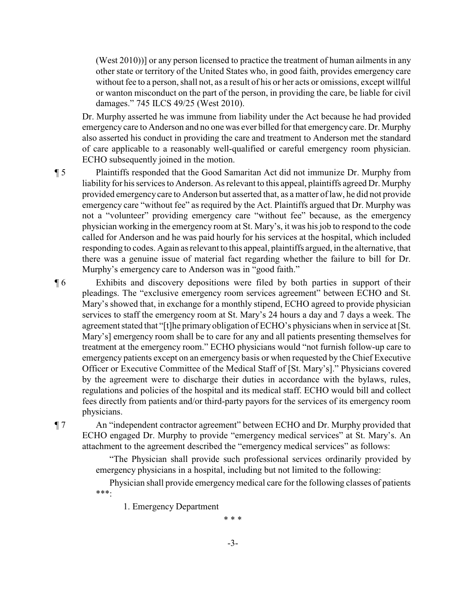(West 2010))] or any person licensed to practice the treatment of human ailments in any other state or territory of the United States who, in good faith, provides emergency care without fee to a person, shall not, as a result of his or her acts or omissions, except willful or wanton misconduct on the part of the person, in providing the care, be liable for civil damages." 745 ILCS 49/25 (West 2010).

Dr. Murphy asserted he was immune from liability under the Act because he had provided emergency care to Anderson and no one was ever billed for that emergency care. Dr. Murphy also asserted his conduct in providing the care and treatment to Anderson met the standard of care applicable to a reasonably well-qualified or careful emergency room physician. ECHO subsequently joined in the motion.

¶ 5 Plaintiffs responded that the Good Samaritan Act did not immunize Dr. Murphy from liability for his services to Anderson. As relevant to this appeal, plaintiffs agreed Dr. Murphy provided emergencycare to Anderson but asserted that, as a matter of law, he did not provide emergency care "without fee" as required by the Act. Plaintiffs argued that Dr. Murphy was not a "volunteer" providing emergency care "without fee" because, as the emergency physician working in the emergency room at St. Mary's, it was his job to respond to the code called for Anderson and he was paid hourly for his services at the hospital, which included responding to codes. Again as relevant to this appeal, plaintiffs argued, in the alternative, that there was a genuine issue of material fact regarding whether the failure to bill for Dr. Murphy's emergency care to Anderson was in "good faith."

¶ 6 Exhibits and discovery depositions were filed by both parties in support of their pleadings. The "exclusive emergency room services agreement" between ECHO and St. Mary's showed that, in exchange for a monthly stipend, ECHO agreed to provide physician services to staff the emergency room at St. Mary's 24 hours a day and 7 days a week. The agreement stated that "[t]he primaryobligation of ECHO's physicians when in service at [St. Mary's] emergency room shall be to care for any and all patients presenting themselves for treatment at the emergency room." ECHO physicians would "not furnish follow-up care to emergency patients except on an emergency basis or when requested by the Chief Executive Officer or Executive Committee of the Medical Staff of [St. Mary's]." Physicians covered by the agreement were to discharge their duties in accordance with the bylaws, rules, regulations and policies of the hospital and its medical staff. ECHO would bill and collect fees directly from patients and/or third-party payors for the services of its emergency room physicians.

¶ 7 An "independent contractor agreement" between ECHO and Dr. Murphy provided that ECHO engaged Dr. Murphy to provide "emergency medical services" at St. Mary's. An attachment to the agreement described the "emergency medical services" as follows:

> "The Physician shall provide such professional services ordinarily provided by emergency physicians in a hospital, including but not limited to the following:

> Physician shall provide emergencymedical care for the following classes of patients \*\*\*:

1. Emergency Department

\* \* \*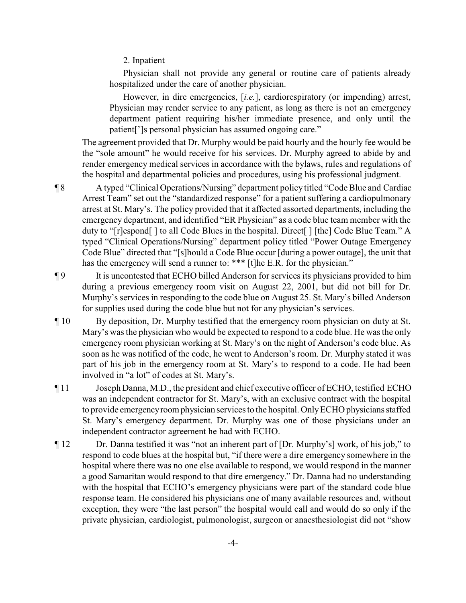2. Inpatient

Physician shall not provide any general or routine care of patients already hospitalized under the care of another physician.

However, in dire emergencies, [*i.e.*], cardiorespiratory (or impending) arrest, Physician may render service to any patient, as long as there is not an emergency department patient requiring his/her immediate presence, and only until the patient[']s personal physician has assumed ongoing care."

The agreement provided that Dr. Murphy would be paid hourly and the hourly fee would be the "sole amount" he would receive for his services. Dr. Murphy agreed to abide by and render emergency medical services in accordance with the bylaws, rules and regulations of the hospital and departmental policies and procedures, using his professional judgment.

¶ 8 A typed "Clinical Operations/Nursing" department policy titled "Code Blue and Cardiac Arrest Team" set out the "standardized response" for a patient suffering a cardiopulmonary arrest at St. Mary's. The policy provided that it affected assorted departments, including the emergency department, and identified "ER Physician" as a code blue team member with the duty to "[r]espond[] to all Code Blues in the hospital. Direct[] [the] Code Blue Team." A typed "Clinical Operations/Nursing" department policy titled "Power Outage Emergency Code Blue" directed that "[s]hould a Code Blue occur [during a power outage], the unit that has the emergency will send a runner to: \*\*\* [t]he E.R. for the physician."

¶ 9 It is uncontested that ECHO billed Anderson for services its physicians provided to him during a previous emergency room visit on August 22, 2001, but did not bill for Dr. Murphy's services in responding to the code blue on August 25. St. Mary's billed Anderson for supplies used during the code blue but not for any physician's services.

- ¶ 10 By deposition, Dr. Murphy testified that the emergency room physician on duty at St. Mary's was the physician who would be expected to respond to a code blue. He was the only emergency room physician working at St. Mary's on the night of Anderson's code blue. As soon as he was notified of the code, he went to Anderson's room. Dr. Murphy stated it was part of his job in the emergency room at St. Mary's to respond to a code. He had been involved in "a lot" of codes at St. Mary's.
- ¶ 11 Joseph Danna, M.D., the president and chief executive officer of ECHO, testified ECHO was an independent contractor for St. Mary's, with an exclusive contract with the hospital to provide emergency room physician services to the hospital. Only ECHO physicians staffed St. Mary's emergency department. Dr. Murphy was one of those physicians under an independent contractor agreement he had with ECHO.
- ¶ 12 Dr. Danna testified it was "not an inherent part of [Dr. Murphy's] work, of his job," to respond to code blues at the hospital but, "if there were a dire emergency somewhere in the hospital where there was no one else available to respond, we would respond in the manner a good Samaritan would respond to that dire emergency." Dr. Danna had no understanding with the hospital that ECHO's emergency physicians were part of the standard code blue response team. He considered his physicians one of many available resources and, without exception, they were "the last person" the hospital would call and would do so only if the private physician, cardiologist, pulmonologist, surgeon or anaesthesiologist did not "show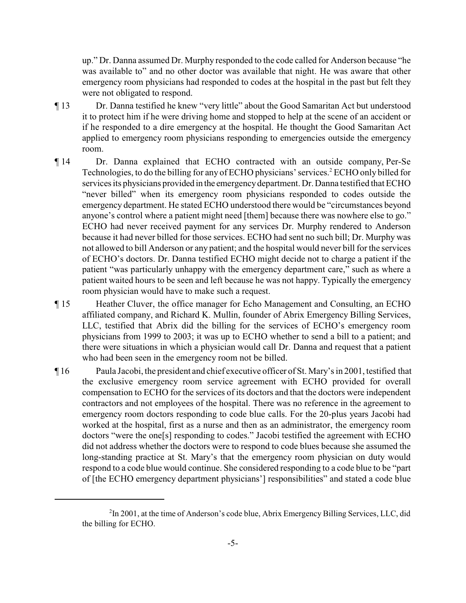up." Dr. Danna assumed Dr. Murphy responded to the code called for Anderson because "he was available to" and no other doctor was available that night. He was aware that other emergency room physicians had responded to codes at the hospital in the past but felt they were not obligated to respond.

- ¶ 13 Dr. Danna testified he knew "very little" about the Good Samaritan Act but understood it to protect him if he were driving home and stopped to help at the scene of an accident or if he responded to a dire emergency at the hospital. He thought the Good Samaritan Act applied to emergency room physicians responding to emergencies outside the emergency room.
- ¶ 14 Dr. Danna explained that ECHO contracted with an outside company, Per-Se Technologies, to do the billing for any of ECHO physicians' services.<sup>2</sup> ECHO only billed for services its physicians provided in the emergencydepartment. Dr. Danna testified that ECHO "never billed" when its emergency room physicians responded to codes outside the emergency department. He stated ECHO understood there would be "circumstances beyond anyone's control where a patient might need [them] because there was nowhere else to go." ECHO had never received payment for any services Dr. Murphy rendered to Anderson because it had never billed for those services. ECHO had sent no such bill; Dr. Murphy was not allowed to bill Anderson or any patient; and the hospital would never bill for the services of ECHO's doctors. Dr. Danna testified ECHO might decide not to charge a patient if the patient "was particularly unhappy with the emergency department care," such as where a patient waited hours to be seen and left because he was not happy. Typically the emergency room physician would have to make such a request.
- ¶ 15 Heather Cluver, the office manager for Echo Management and Consulting, an ECHO affiliated company, and Richard K. Mullin, founder of Abrix Emergency Billing Services, LLC, testified that Abrix did the billing for the services of ECHO's emergency room physicians from 1999 to 2003; it was up to ECHO whether to send a bill to a patient; and there were situations in which a physician would call Dr. Danna and request that a patient who had been seen in the emergency room not be billed.
- ¶ 16 Paula Jacobi, the president and chief executive officer of St. Mary's in 2001, testified that the exclusive emergency room service agreement with ECHO provided for overall compensation to ECHO for the services of its doctors and that the doctors were independent contractors and not employees of the hospital. There was no reference in the agreement to emergency room doctors responding to code blue calls. For the 20-plus years Jacobi had worked at the hospital, first as a nurse and then as an administrator, the emergency room doctors "were the one[s] responding to codes." Jacobi testified the agreement with ECHO did not address whether the doctors were to respond to code blues because she assumed the long-standing practice at St. Mary's that the emergency room physician on duty would respond to a code blue would continue. She considered responding to a code blue to be "part of [the ECHO emergency department physicians'] responsibilities" and stated a code blue

 $2$ In 2001, at the time of Anderson's code blue, Abrix Emergency Billing Services, LLC, did the billing for ECHO.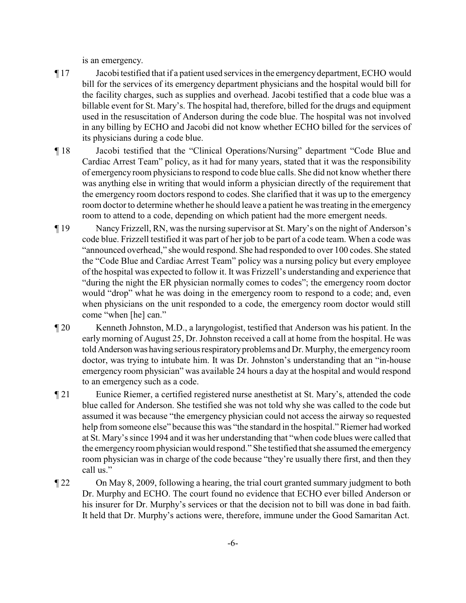is an emergency.

- ¶ 17 Jacobi testified that if a patient used services in the emergencydepartment, ECHO would bill for the services of its emergency department physicians and the hospital would bill for the facility charges, such as supplies and overhead. Jacobi testified that a code blue was a billable event for St. Mary's. The hospital had, therefore, billed for the drugs and equipment used in the resuscitation of Anderson during the code blue. The hospital was not involved in any billing by ECHO and Jacobi did not know whether ECHO billed for the services of its physicians during a code blue.
- ¶ 18 Jacobi testified that the "Clinical Operations/Nursing" department "Code Blue and Cardiac Arrest Team" policy, as it had for many years, stated that it was the responsibility of emergency room physicians to respond to code blue calls. She did not know whether there was anything else in writing that would inform a physician directly of the requirement that the emergency room doctors respond to codes. She clarified that it was up to the emergency room doctor to determine whether he should leave a patient he was treating in the emergency room to attend to a code, depending on which patient had the more emergent needs.
- ¶ 19 Nancy Frizzell, RN, was the nursing supervisor at St. Mary's on the night of Anderson's code blue. Frizzell testified it was part of her job to be part of a code team. When a code was "announced overhead," she would respond. She had responded to over 100 codes. She stated the "Code Blue and Cardiac Arrest Team" policy was a nursing policy but every employee of the hospital was expected to follow it. It was Frizzell's understanding and experience that "during the night the ER physician normally comes to codes"; the emergency room doctor would "drop" what he was doing in the emergency room to respond to a code; and, even when physicians on the unit responded to a code, the emergency room doctor would still come "when [he] can."
- ¶ 20 Kenneth Johnston, M.D., a laryngologist, testified that Anderson was his patient. In the early morning of August 25, Dr. Johnston received a call at home from the hospital. He was told Andersonwas having serious respiratoryproblems and Dr. Murphy, the emergencyroom doctor, was trying to intubate him. It was Dr. Johnston's understanding that an "in-house emergency room physician" was available 24 hours a day at the hospital and would respond to an emergency such as a code.
- ¶ 21 Eunice Riemer, a certified registered nurse anesthetist at St. Mary's, attended the code blue called for Anderson. She testified she was not told why she was called to the code but assumed it was because "the emergency physician could not access the airway so requested help from someone else" because this was "the standard in the hospital." Riemer had worked at St. Mary's since 1994 and it was her understanding that "when code blues were called that the emergencyroom physician would respond." She testified that she assumed the emergency room physician was in charge of the code because "they're usually there first, and then they call us."
- ¶ 22 On May 8, 2009, following a hearing, the trial court granted summary judgment to both Dr. Murphy and ECHO. The court found no evidence that ECHO ever billed Anderson or his insurer for Dr. Murphy's services or that the decision not to bill was done in bad faith. It held that Dr. Murphy's actions were, therefore, immune under the Good Samaritan Act.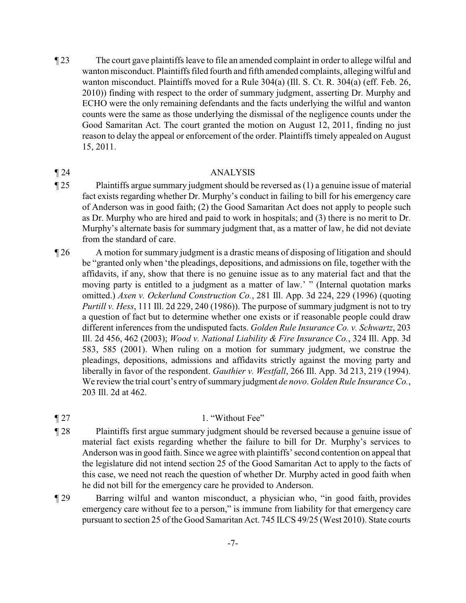¶ 23 The court gave plaintiffs leave to file an amended complaint in order to allege wilful and wanton misconduct. Plaintiffs filed fourth and fifth amended complaints, alleging wilful and wanton misconduct. Plaintiffs moved for a Rule 304(a) (Ill. S. Ct. R. 304(a) (eff. Feb. 26, 2010)) finding with respect to the order of summary judgment, asserting Dr. Murphy and ECHO were the only remaining defendants and the facts underlying the wilful and wanton counts were the same as those underlying the dismissal of the negligence counts under the Good Samaritan Act. The court granted the motion on August 12, 2011, finding no just reason to delay the appeal or enforcement of the order. Plaintiffs timely appealed on August 15, 2011.

## ¶ 24 ANALYSIS

- ¶ 25 Plaintiffs argue summary judgment should be reversed as (1) a genuine issue of material fact exists regarding whether Dr. Murphy's conduct in failing to bill for his emergency care of Anderson was in good faith; (2) the Good Samaritan Act does not apply to people such as Dr. Murphy who are hired and paid to work in hospitals; and (3) there is no merit to Dr. Murphy's alternate basis for summary judgment that, as a matter of law, he did not deviate from the standard of care.
- ¶ 26 A motion for summary judgment is a drastic means of disposing of litigation and should be "granted only when 'the pleadings, depositions, and admissions on file, together with the affidavits, if any, show that there is no genuine issue as to any material fact and that the moving party is entitled to a judgment as a matter of law.' " (Internal quotation marks omitted.) *Axen v. Ockerlund Construction Co.*, 281 Ill. App. 3d 224, 229 (1996) (quoting *Purtill v. Hess*, 111 Ill. 2d 229, 240 (1986)). The purpose of summary judgment is not to try a question of fact but to determine whether one exists or if reasonable people could draw different inferences from the undisputed facts. *Golden Rule Insurance Co. v. Schwartz*, 203 Ill. 2d 456, 462 (2003); *Wood v. National Liability & Fire Insurance Co.*, 324 Ill. App. 3d 583, 585 (2001). When ruling on a motion for summary judgment, we construe the pleadings, depositions, admissions and affidavits strictly against the moving party and liberally in favor of the respondent. *Gauthier v. Westfall*, 266 Ill. App. 3d 213, 219 (1994). We review the trial court's entry of summary judgment *de novo*. *Golden Rule Insurance Co.*, 203 Ill. 2d at 462.
- ¶ 27 1. "Without Fee"
- ¶ 28 Plaintiffs first argue summary judgment should be reversed because a genuine issue of material fact exists regarding whether the failure to bill for Dr. Murphy's services to Anderson was in good faith. Since we agree with plaintiffs' second contention on appeal that the legislature did not intend section 25 of the Good Samaritan Act to apply to the facts of this case, we need not reach the question of whether Dr. Murphy acted in good faith when he did not bill for the emergency care he provided to Anderson.
- ¶ 29 Barring wilful and wanton misconduct, a physician who, "in good faith, provides emergency care without fee to a person," is immune from liability for that emergency care pursuant to section 25 of the Good Samaritan Act. 745 ILCS 49/25 (West 2010). State courts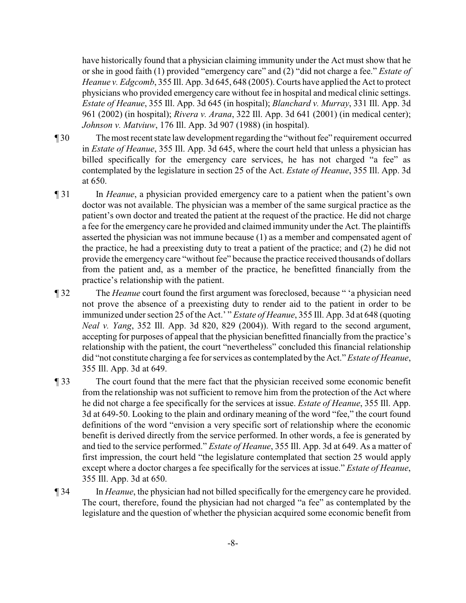have historically found that a physician claiming immunity under the Act must show that he or she in good faith (1) provided "emergency care" and (2) "did not charge a fee." *Estate of Heanue v. Edgcomb*, 355 Ill. App. 3d 645, 648 (2005). Courts have applied the Act to protect physicians who provided emergency care without fee in hospital and medical clinic settings. *Estate of Heanue*, 355 Ill. App. 3d 645 (in hospital); *Blanchard v. Murray*, 331 Ill. App. 3d 961 (2002) (in hospital); *Rivera v. Arana*, 322 Ill. App. 3d 641 (2001) (in medical center); *Johnson v. Matviuw*, 176 Ill. App. 3d 907 (1988) (in hospital).

- ¶ 30 The most recent state law development regarding the "without fee" requirement occurred in *Estate of Heanue*, 355 Ill. App. 3d 645, where the court held that unless a physician has billed specifically for the emergency care services, he has not charged "a fee" as contemplated by the legislature in section 25 of the Act. *Estate of Heanue*, 355 Ill. App. 3d at 650.
- ¶ 31 In *Heanue*, a physician provided emergency care to a patient when the patient's own doctor was not available. The physician was a member of the same surgical practice as the patient's own doctor and treated the patient at the request of the practice. He did not charge a fee for the emergency care he provided and claimed immunity under the Act. The plaintiffs asserted the physician was not immune because (1) as a member and compensated agent of the practice, he had a preexisting duty to treat a patient of the practice; and (2) he did not provide the emergency care "without fee" because the practice received thousands of dollars from the patient and, as a member of the practice, he benefitted financially from the practice's relationship with the patient.
- ¶ 32 The *Heanue* court found the first argument was foreclosed, because " 'a physician need not prove the absence of a preexisting duty to render aid to the patient in order to be immunized under section 25 of the Act.' " *Estate of Heanue*, 355 Ill. App. 3d at 648 (quoting *Neal v. Yang*, 352 Ill. App. 3d 820, 829 (2004)). With regard to the second argument, accepting for purposes of appeal that the physician benefitted financially from the practice's relationship with the patient, the court "nevertheless" concluded this financial relationship did "not constitute charging a fee for services as contemplated by the Act." *Estate of Heanue*, 355 Ill. App. 3d at 649.
- ¶ 33 The court found that the mere fact that the physician received some economic benefit from the relationship was not sufficient to remove him from the protection of the Act where he did not charge a fee specifically for the services at issue. *Estate of Heanue*, 355 Ill. App. 3d at 649-50. Looking to the plain and ordinary meaning of the word "fee," the court found definitions of the word "envision a very specific sort of relationship where the economic benefit is derived directly from the service performed. In other words, a fee is generated by and tied to the service performed." *Estate of Heanue*, 355 Ill. App. 3d at 649. As a matter of first impression, the court held "the legislature contemplated that section 25 would apply except where a doctor charges a fee specifically for the services at issue." *Estate of Heanue*, 355 Ill. App. 3d at 650.
- ¶ 34 In *Heanue*, the physician had not billed specifically for the emergency care he provided. The court, therefore, found the physician had not charged "a fee" as contemplated by the legislature and the question of whether the physician acquired some economic benefit from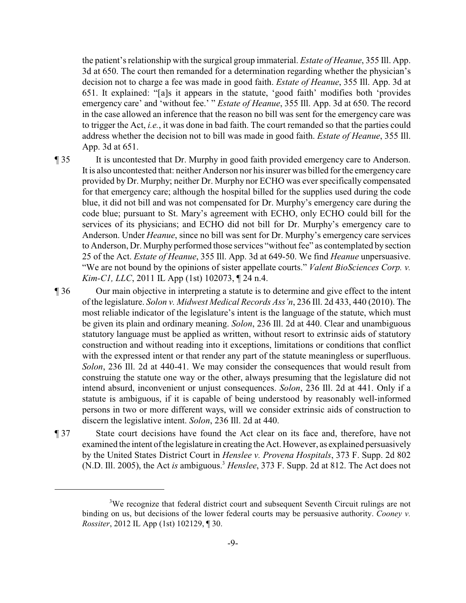the patient's relationship with the surgical group immaterial. *Estate of Heanue*, 355 Ill. App. 3d at 650. The court then remanded for a determination regarding whether the physician's decision not to charge a fee was made in good faith. *Estate of Heanue*, 355 Ill. App. 3d at 651. It explained: "[a]s it appears in the statute, 'good faith' modifies both 'provides emergency care' and 'without fee.' " *Estate of Heanue*, 355 Ill. App. 3d at 650. The record in the case allowed an inference that the reason no bill was sent for the emergency care was to trigger the Act, *i.e.*, it was done in bad faith. The court remanded so that the parties could address whether the decision not to bill was made in good faith. *Estate of Heanue*, 355 Ill. App. 3d at 651.

- ¶ 35 It is uncontested that Dr. Murphy in good faith provided emergency care to Anderson. It is also uncontested that: neither Anderson nor his insurer was billed for the emergencycare provided by Dr. Murphy; neither Dr. Murphy nor ECHO was everspecifically compensated for that emergency care; although the hospital billed for the supplies used during the code blue, it did not bill and was not compensated for Dr. Murphy's emergency care during the code blue; pursuant to St. Mary's agreement with ECHO, only ECHO could bill for the services of its physicians; and ECHO did not bill for Dr. Murphy's emergency care to Anderson. Under *Heanue*, since no bill was sent for Dr. Murphy's emergency care services to Anderson, Dr. Murphy performed those services "without fee" as contemplated by section 25 of the Act. *Estate of Heanue*, 355 Ill. App. 3d at 649-50. We find *Heanue* unpersuasive. "We are not bound by the opinions of sister appellate courts." *Valent BioSciences Corp. v. Kim-C1, LLC*, 2011 IL App (1st) 102073,  $\P$  24 n.4.
- ¶ 36 Our main objective in interpreting a statute is to determine and give effect to the intent of the legislature. *Solon v. Midwest Medical Records Ass'n*, 236 Ill. 2d 433, 440 (2010). The most reliable indicator of the legislature's intent is the language of the statute, which must be given its plain and ordinary meaning. *Solon*, 236 Ill. 2d at 440. Clear and unambiguous statutory language must be applied as written, without resort to extrinsic aids of statutory construction and without reading into it exceptions, limitations or conditions that conflict with the expressed intent or that render any part of the statute meaningless or superfluous. *Solon*, 236 Ill. 2d at 440-41. We may consider the consequences that would result from construing the statute one way or the other, always presuming that the legislature did not intend absurd, inconvenient or unjust consequences. *Solon*, 236 Ill. 2d at 441. Only if a statute is ambiguous, if it is capable of being understood by reasonably well-informed persons in two or more different ways, will we consider extrinsic aids of construction to discern the legislative intent. *Solon*, 236 Ill. 2d at 440.
- ¶ 37 State court decisions have found the Act clear on its face and, therefore, have not examined the intent of the legislature in creating the Act. However, as explained persuasively by the United States District Court in *Henslee v. Provena Hospitals*, 373 F. Supp. 2d 802 (N.D. Ill. 2005), the Act *is* ambiguous.<sup>3</sup> Henslee, 373 F. Supp. 2d at 812. The Act does not

<sup>&</sup>lt;sup>3</sup>We recognize that federal district court and subsequent Seventh Circuit rulings are not binding on us, but decisions of the lower federal courts may be persuasive authority. *Cooney v. Rossiter*, 2012 IL App (1st) 102129, ¶ 30.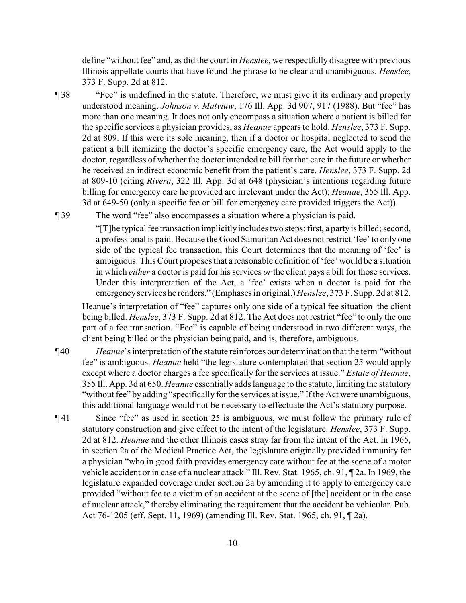define "without fee" and, as did the court in *Henslee*, we respectfully disagree with previous Illinois appellate courts that have found the phrase to be clear and unambiguous. *Henslee*, 373 F. Supp. 2d at 812.

¶ 38 "Fee" is undefined in the statute. Therefore, we must give it its ordinary and properly understood meaning. *Johnson v. Matviuw*, 176 Ill. App. 3d 907, 917 (1988). But "fee" has more than one meaning. It does not only encompass a situation where a patient is billed for the specific services a physician provides, as *Heanue* appears to hold. *Henslee*, 373 F. Supp. 2d at 809. If this were its sole meaning, then if a doctor or hospital neglected to send the patient a bill itemizing the doctor's specific emergency care, the Act would apply to the doctor, regardless of whether the doctor intended to bill for that care in the future or whether he received an indirect economic benefit from the patient's care. *Henslee*, 373 F. Supp. 2d at 809-10 (citing *Rivera*, 322 Ill. App. 3d at 648 (physician's intentions regarding future billing for emergency care he provided are irrelevant under the Act); *Heanue*, 355 Ill. App. 3d at 649-50 (only a specific fee or bill for emergency care provided triggers the Act)).

¶ 39 The word "fee" also encompasses a situation where a physician is paid.

"[T]he typical fee transaction implicitlyincludes two steps: first, a partyis billed; second, a professional is paid. Because the Good Samaritan Act does not restrict 'fee' to only one side of the typical fee transaction, this Court determines that the meaning of 'fee' is ambiguous. This Court proposes that a reasonable definition of 'fee' would be a situation in which *either* a doctor is paid for his services *or*the client pays a bill for those services. Under this interpretation of the Act, a 'fee' exists when a doctor is paid for the emergencyservices he renders." (Emphases in original.) *Henslee*, 373 F. Supp. 2d at 812. Heanue's interpretation of "fee" captures only one side of a typical fee situation–the client being billed. *Henslee*, 373 F. Supp. 2d at 812. The Act does not restrict "fee" to only the one part of a fee transaction. "Fee" is capable of being understood in two different ways, the client being billed or the physician being paid, and is, therefore, ambiguous.

¶ 40 *Heanue*'s interpretation of the statute reinforces our determination that the term "without fee" is ambiguous. *Heanue* held "the legislature contemplated that section 25 would apply except where a doctor charges a fee specifically for the services at issue." *Estate of Heanue*, 355 Ill. App. 3d at 650. *Heanue* essentially adds language to the statute, limiting the statutory "without fee" by adding "specifically for the services at issue." If the Act were unambiguous, this additional language would not be necessary to effectuate the Act's statutory purpose.

¶ 41 Since "fee" as used in section 25 is ambiguous, we must follow the primary rule of statutory construction and give effect to the intent of the legislature. *Henslee*, 373 F. Supp. 2d at 812. *Heanue* and the other Illinois cases stray far from the intent of the Act. In 1965, in section 2a of the Medical Practice Act, the legislature originally provided immunity for a physician "who in good faith provides emergency care without fee at the scene of a motor vehicle accident or in case of a nuclear attack." Ill. Rev. Stat. 1965, ch. 91, ¶ 2a. In 1969, the legislature expanded coverage under section 2a by amending it to apply to emergency care provided "without fee to a victim of an accident at the scene of [the] accident or in the case of nuclear attack," thereby eliminating the requirement that the accident be vehicular. Pub. Act 76-1205 (eff. Sept. 11, 1969) (amending Ill. Rev. Stat. 1965, ch. 91, ¶ 2a).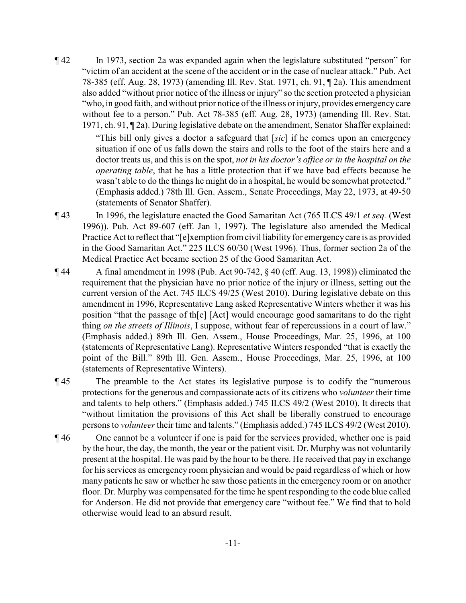¶ 42 In 1973, section 2a was expanded again when the legislature substituted "person" for "victim of an accident at the scene of the accident or in the case of nuclear attack." Pub. Act 78-385 (eff. Aug. 28, 1973) (amending Ill. Rev. Stat. 1971, ch. 91, ¶ 2a). This amendment also added "without prior notice of the illness or injury" so the section protected a physician "who, in good faith, and without prior notice of the illness or injury, provides emergencycare without fee to a person." Pub. Act 78-385 (eff. Aug. 28, 1973) (amending Ill. Rev. Stat. 1971, ch. 91, ¶ 2a). During legislative debate on the amendment, Senator Shaffer explained:

> "This bill only gives a doctor a safeguard that [*sic*] if he comes upon an emergency situation if one of us falls down the stairs and rolls to the foot of the stairs here and a doctor treats us, and this is on the spot, *not in his doctor's office or in the hospital on the operating table*, that he has a little protection that if we have bad effects because he wasn't able to do the things he might do in a hospital, he would be somewhat protected." (Emphasis added.) 78th Ill. Gen. Assem., Senate Proceedings, May 22, 1973, at 49-50 (statements of Senator Shaffer).

- ¶ 43 In 1996, the legislature enacted the Good Samaritan Act (765 ILCS 49/1 *et seq.* (West 1996)). Pub. Act 89-607 (eff. Jan 1, 1997). The legislature also amended the Medical Practice Act to reflect that "[e]xemption from civil liability for emergencycare is as provided in the Good Samaritan Act." 225 ILCS 60/30 (West 1996). Thus, former section 2a of the Medical Practice Act became section 25 of the Good Samaritan Act.
- ¶ 44 A final amendment in 1998 (Pub. Act 90-742, § 40 (eff. Aug. 13, 1998)) eliminated the requirement that the physician have no prior notice of the injury or illness, setting out the current version of the Act. 745 ILCS 49/25 (West 2010). During legislative debate on this amendment in 1996, Representative Lang asked Representative Winters whether it was his position "that the passage of th[e] [Act] would encourage good samaritans to do the right thing *on the streets of Illinois*, I suppose, without fear of repercussions in a court of law." (Emphasis added.) 89th Ill. Gen. Assem., House Proceedings, Mar. 25, 1996, at 100 (statements of Representative Lang). Representative Winters responded "that is exactly the point of the Bill." 89th Ill. Gen. Assem., House Proceedings, Mar. 25, 1996, at 100 (statements of Representative Winters).
- ¶ 45 The preamble to the Act states its legislative purpose is to codify the "numerous protections for the generous and compassionate acts of its citizens who *volunteer* their time and talents to help others." (Emphasis added.) 745 ILCS 49/2 (West 2010). It directs that "without limitation the provisions of this Act shall be liberally construed to encourage persons to *volunteer*their time and talents." (Emphasis added.) 745 ILCS 49/2 (West 2010).
- ¶ 46 One cannot be a volunteer if one is paid for the services provided, whether one is paid by the hour, the day, the month, the year or the patient visit. Dr. Murphy was not voluntarily present at the hospital. He was paid by the hour to be there. He received that pay in exchange for his services as emergency room physician and would be paid regardless of which or how many patients he saw or whether he saw those patients in the emergency room or on another floor. Dr. Murphy was compensated for the time he spent responding to the code blue called for Anderson. He did not provide that emergency care "without fee." We find that to hold otherwise would lead to an absurd result.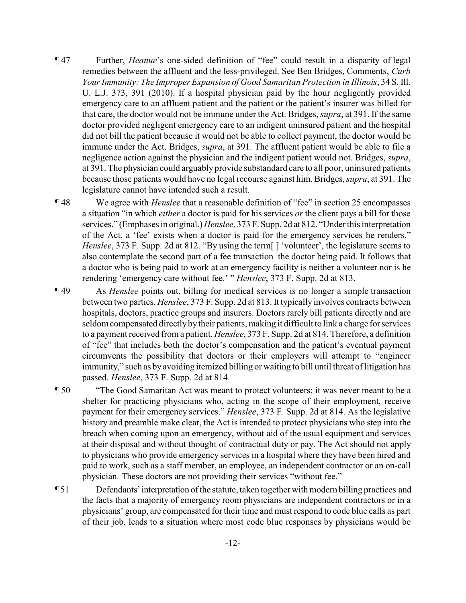- ¶ 47 Further, *Heanue*'s one-sided definition of "fee" could result in a disparity of legal remedies between the affluent and the less-privileged. See Ben Bridges, Comments, *Curb Your Immunity: The Improper Expansion of Good Samaritan Protection in Illinois*, 34 S. Ill. U. L.J. 373, 391 (2010). If a hospital physician paid by the hour negligently provided emergency care to an affluent patient and the patient or the patient's insurer was billed for that care, the doctor would not be immune under the Act. Bridges, *supra*, at 391. If the same doctor provided negligent emergency care to an indigent uninsured patient and the hospital did not bill the patient because it would not be able to collect payment, the doctor would be immune under the Act. Bridges, *supra*, at 391. The affluent patient would be able to file a negligence action against the physician and the indigent patient would not. Bridges, *supra*, at 391. The physician could arguably provide substandard care to all poor, uninsured patients because those patients would have no legal recourse against him. Bridges, *supra*, at 391. The legislature cannot have intended such a result.
- ¶ 48 We agree with *Henslee* that a reasonable definition of "fee" in section 25 encompasses a situation "in which *either* a doctor is paid for his services *or* the client pays a bill for those services." (Emphases in original.) *Henslee*, 373 F. Supp. 2d at 812. "Under this interpretation of the Act, a 'fee' exists when a doctor is paid for the emergency services he renders." *Henslee*, 373 F. Supp. 2d at 812. "By using the term<sup>[]</sup> 'volunteer', the legislature seems to also contemplate the second part of a fee transaction–the doctor being paid. It follows that a doctor who is being paid to work at an emergency facility is neither a volunteer nor is he rendering 'emergency care without fee.' " *Henslee*, 373 F. Supp. 2d at 813.
- ¶ 49 As *Henslee* points out, billing for medical services is no longer a simple transaction between two parties. *Henslee*, 373 F. Supp. 2d at 813. It typically involves contracts between hospitals, doctors, practice groups and insurers. Doctors rarely bill patients directly and are seldom compensated directly by their patients, making it difficult to link a charge for services to a payment received from a patient. *Henslee*, 373 F. Supp. 2d at 814. Therefore, a definition of "fee" that includes both the doctor's compensation and the patient's eventual payment circumvents the possibility that doctors or their employers will attempt to "engineer immunity," such as by avoiding itemized billing or waiting to bill until threat of litigation has passed. *Henslee*, 373 F. Supp. 2d at 814.
- ¶ 50 "The Good Samaritan Act was meant to protect volunteers; it was never meant to be a shelter for practicing physicians who, acting in the scope of their employment, receive payment for their emergency services." *Henslee*, 373 F. Supp. 2d at 814. As the legislative history and preamble make clear, the Act is intended to protect physicians who step into the breach when coming upon an emergency, without aid of the usual equipment and services at their disposal and without thought of contractual duty or pay. The Act should not apply to physicians who provide emergency services in a hospital where they have been hired and paid to work, such as a staff member, an employee, an independent contractor or an on-call physician. These doctors are not providing their services "without fee."
- ¶ 51 Defendants'interpretation of the statute, taken together with modern billing practices and the facts that a majority of emergency room physicians are independent contractors or in a physicians' group, are compensated for their time and must respond to code blue calls as part of their job, leads to a situation where most code blue responses by physicians would be